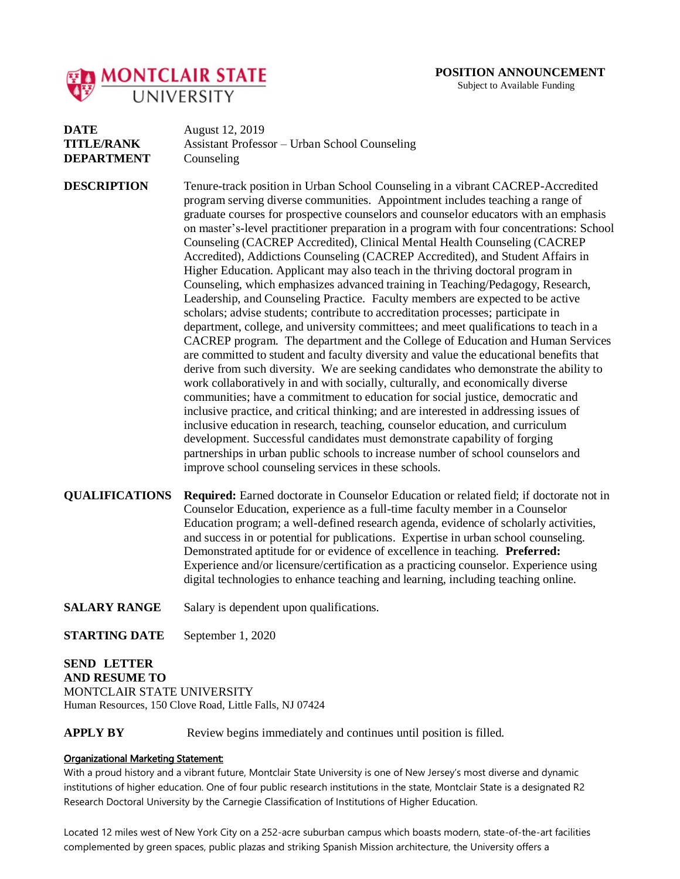

Subject to Available Funding

| DATE              | August 12, 2019                               |
|-------------------|-----------------------------------------------|
| <b>TITLE/RANK</b> | Assistant Professor – Urban School Counseling |
| <b>DEPARTMENT</b> | Counseling                                    |

**DESCRIPTION** Tenure-track position in Urban School Counseling in a vibrant CACREP-Accredited program serving diverse communities. Appointment includes teaching a range of graduate courses for prospective counselors and counselor educators with an emphasis on master's-level practitioner preparation in a program with four concentrations: School Counseling (CACREP Accredited), Clinical Mental Health Counseling (CACREP Accredited), Addictions Counseling (CACREP Accredited), and Student Affairs in Higher Education. Applicant may also teach in the thriving doctoral program in Counseling, which emphasizes advanced training in Teaching/Pedagogy, Research, Leadership, and Counseling Practice. Faculty members are expected to be active scholars; advise students; contribute to accreditation processes; participate in department, college, and university committees; and meet qualifications to teach in a CACREP program.The department and the College of Education and Human Services are committed to student and faculty diversity and value the educational benefits that derive from such diversity. We are seeking candidates who demonstrate the ability to work collaboratively in and with socially, culturally, and economically diverse communities; have a commitment to education for social justice, democratic and inclusive practice, and critical thinking; and are interested in addressing issues of inclusive education in research, teaching, counselor education, and curriculum development. Successful candidates must demonstrate capability of forging partnerships in urban public schools to increase number of school counselors and improve school counseling services in these schools.

**QUALIFICATIONS Required:** Earned doctorate in Counselor Education or related field; if doctorate not in Counselor Education, experience as a full-time faculty member in a Counselor Education program; a well-defined research agenda, evidence of scholarly activities, and success in or potential for publications. Expertise in urban school counseling. Demonstrated aptitude for or evidence of excellence in teaching. **Preferred:**  Experience and/or licensure/certification as a practicing counselor. Experience using digital technologies to enhance teaching and learning, including teaching online.

**SALARY RANGE** Salary is dependent upon qualifications.

**STARTING DATE** September 1, 2020

**SEND LETTER**

**AND RESUME TO**  MONTCLAIR STATE UNIVERSITY Human Resources, 150 Clove Road, Little Falls, NJ 07424

**APPLY BY** Review begins immediately and continues until position is filled.

## Organizational Marketing Statement:

With a proud history and a vibrant future, Montclair State University is one of New Jersey's most diverse and dynamic institutions of higher education. One of four public research institutions in the state, Montclair State is a designated R2 Research Doctoral University by the Carnegie Classification of Institutions of Higher Education.

Located 12 miles west of New York City on a 252-acre suburban campus which boasts modern, state-of-the-art facilities complemented by green spaces, public plazas and striking Spanish Mission architecture, the University offers a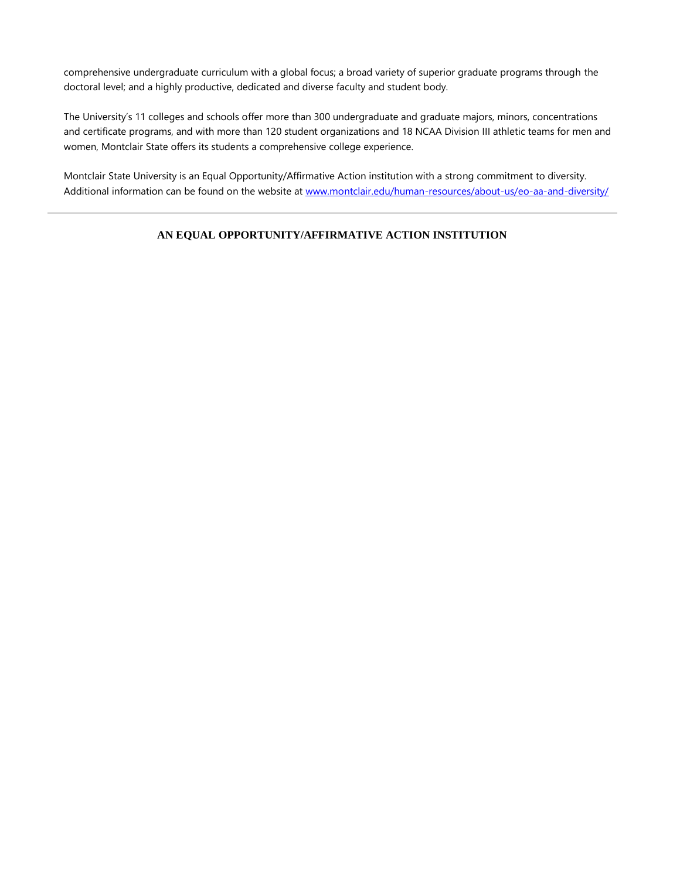comprehensive undergraduate curriculum with a global focus; a broad variety of superior graduate programs through the doctoral level; and a highly productive, dedicated and diverse faculty and student body.

The University's 11 colleges and schools offer more than 300 undergraduate and graduate majors, minors, concentrations and certificate programs, and with more than 120 student organizations and 18 NCAA Division III athletic teams for men and women, Montclair State offers its students a comprehensive college experience.

Montclair State University is an Equal Opportunity/Affirmative Action institution with a strong commitment to diversity. Additional information can be found on the website at [www.montclair.edu/human-resources/about-us/eo-aa-and-diversity/](http://www.montclair.edu/human-resources/about-us/eo-aa-and-diversity/)

## **AN EQUAL OPPORTUNITY/AFFIRMATIVE ACTION INSTITUTION**